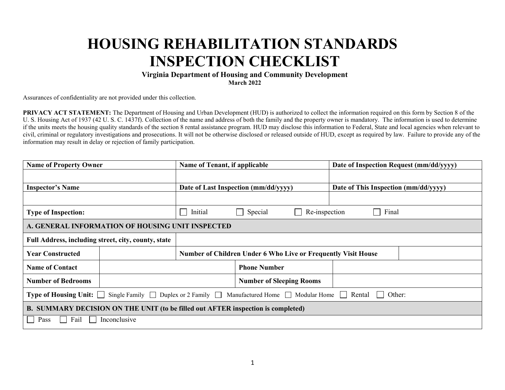# **HOUSING REHABILITATION STANDARDS INSPECTION CHECKLIST**

#### **Virginia Department of Housing and Community Development March 2022**

Assurances of confidentiality are not provided under this collection.

**PRIVACY ACT STATEMENT:** The Department of Housing and Urban Development (HUD) is authorized to collect the information required on this form by Section 8 of the U. S. Housing Act of 1937 (42 U. S. C. 1437f). Collection of the name and address of both the family and the property owner is mandatory. The information is used to determine if the units meets the housing quality standards of the section 8 rental assistance program. HUD may disclose this information to Federal, State and local agencies when relevant to civil, criminal or regulatory investigations and prosecutions. It will not be otherwise disclosed or released outside of HUD, except as required by law. Failure to provide any of the information may result in delay or rejection of family participation.

| <b>Name of Property Owner</b>                                                                                                                   |              |                                                                      | Name of Tenant, if applicable                |  | Date of Inspection Request (mm/dd/yyyy) |  |
|-------------------------------------------------------------------------------------------------------------------------------------------------|--------------|----------------------------------------------------------------------|----------------------------------------------|--|-----------------------------------------|--|
|                                                                                                                                                 |              |                                                                      |                                              |  |                                         |  |
| <b>Inspector's Name</b>                                                                                                                         |              |                                                                      | Date of Last Inspection (mm/dd/yyyy)         |  | Date of This Inspection (mm/dd/yyyy)    |  |
|                                                                                                                                                 |              |                                                                      |                                              |  |                                         |  |
| <b>Type of Inspection:</b>                                                                                                                      |              | Initial                                                              | Special<br>Final<br>Re-inspection<br>$\perp$ |  |                                         |  |
| A. GENERAL INFORMATION OF HOUSING UNIT INSPECTED                                                                                                |              |                                                                      |                                              |  |                                         |  |
| Full Address, including street, city, county, state                                                                                             |              |                                                                      |                                              |  |                                         |  |
| <b>Year Constructed</b>                                                                                                                         |              | <b>Number of Children Under 6 Who Live or Frequently Visit House</b> |                                              |  |                                         |  |
| <b>Name of Contact</b>                                                                                                                          |              |                                                                      | <b>Phone Number</b>                          |  |                                         |  |
| <b>Number of Bedrooms</b>                                                                                                                       |              | <b>Number of Sleeping Rooms</b>                                      |                                              |  |                                         |  |
| Single Family $\Box$ Duplex or 2 Family $\Box$ Manufactured Home $\Box$ Modular Home $\Box$<br><b>Type of Housing Unit:</b><br>Rental<br>Other: |              |                                                                      |                                              |  |                                         |  |
| B. SUMMARY DECISION ON THE UNIT (to be filled out AFTER inspection is completed)                                                                |              |                                                                      |                                              |  |                                         |  |
| Fail<br>Pass                                                                                                                                    | Inconclusive |                                                                      |                                              |  |                                         |  |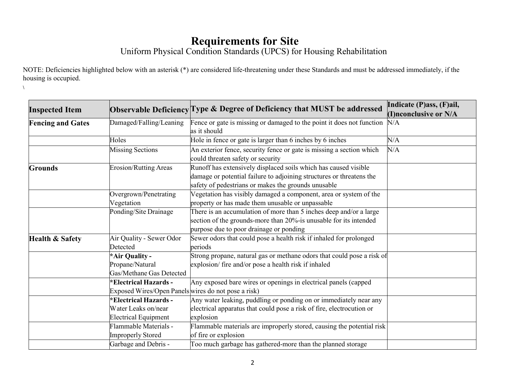## **Requirements for Site**

Uniform Physical Condition Standards (UPCS) for Housing Rehabilitation

NOTE: Deficiencies highlighted below with an asterisk (\*) are considered life-threatening under these Standards and must be addressed immediately, if the housing is occupied.

**\** 

| <b>Inspected Item</b>      |                                                                                     | Observable Deficiency Type & Degree of Deficiency that MUST be addressed                                                                                                                       | Indicate (P)ass, (F)ail,<br>(I)nconclusive or N/A |
|----------------------------|-------------------------------------------------------------------------------------|------------------------------------------------------------------------------------------------------------------------------------------------------------------------------------------------|---------------------------------------------------|
| <b>Fencing and Gates</b>   | Damaged/Falling/Leaning                                                             | Fence or gate is missing or damaged to the point it does not function<br>as it should                                                                                                          | N/A                                               |
|                            | Holes                                                                               | Hole in fence or gate is larger than 6 inches by 6 inches                                                                                                                                      | N/A                                               |
|                            | <b>Missing Sections</b>                                                             | An exterior fence, security fence or gate is missing a section which<br>could threaten safety or security                                                                                      | N/A                                               |
| <b>Grounds</b>             | <b>Erosion/Rutting Areas</b>                                                        | Runoff has extensively displaced soils which has caused visible<br>damage or potential failure to adjoining structures or threatens the<br>safety of pedestrians or makes the grounds unusable |                                                   |
|                            | Overgrown/Penetrating<br>Vegetation                                                 | Vegetation has visibly damaged a component, area or system of the<br>property or has made them unusable or unpassable                                                                          |                                                   |
|                            | Ponding/Site Drainage                                                               | There is an accumulation of more than 5 inches deep and/or a large<br>section of the grounds-more than 20%-is unusable for its intended<br>purpose due to poor drainage or ponding             |                                                   |
| <b>Health &amp; Safety</b> | Air Quality - Sewer Odor<br>Detected                                                | Sewer odors that could pose a health risk if inhaled for prolonged<br>periods                                                                                                                  |                                                   |
|                            | *Air Quality -<br>Propane/Natural<br>Gas/Methane Gas Detected                       | Strong propane, natural gas or methane odors that could pose a risk of<br>explosion/ fire and/or pose a health risk if inhaled                                                                 |                                                   |
|                            | <b>*Electrical Hazards -</b><br>Exposed Wires/Open Panels wires do not pose a risk) | Any exposed bare wires or openings in electrical panels (capped                                                                                                                                |                                                   |
|                            | *Electrical Hazards -<br>Water Leaks on/near<br><b>Electrical Equipment</b>         | Any water leaking, puddling or ponding on or immediately near any<br>electrical apparatus that could pose a risk of fire, electrocution or<br>explosion                                        |                                                   |
|                            | Flammable Materials -<br><b>Improperly Stored</b>                                   | Flammable materials are improperly stored, causing the potential risk<br>of fire or explosion                                                                                                  |                                                   |
|                            | Garbage and Debris -                                                                | Too much garbage has gathered-more than the planned storage                                                                                                                                    |                                                   |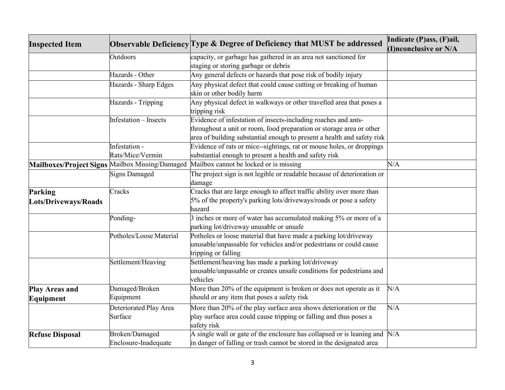| <b>Inspected Item</b>  |                              |                                                                                        | Indicate (P)ass, (F)ail, |
|------------------------|------------------------------|----------------------------------------------------------------------------------------|--------------------------|
|                        |                              | Observable Deficiency Type & Degree of Deficiency that MUST be addressed               | (I)nconclusive or N/A    |
|                        | Outdoors                     | capacity, or garbage has gathered in an area not sanctioned for                        |                          |
|                        |                              | staging or storing garbage or debris                                                   |                          |
|                        | Hazards - Other              | Any general defects or hazards that pose risk of bodily injury                         |                          |
|                        | Hazards - Sharp Edges        | Any physical defect that could cause cutting or breaking of human                      |                          |
|                        |                              | skin or other bodily harm                                                              |                          |
|                        | Hazards - Tripping           | Any physical defect in walkways or other travelled area that poses a                   |                          |
|                        |                              | tripping risk                                                                          |                          |
|                        | <b>Infestation</b> – Insects | Evidence of infestation of insects-including roaches and ants-                         |                          |
|                        |                              | throughout a unit or room, food preparation or storage area or other                   |                          |
|                        |                              | area of building substantial enough to present a health and safety risk                |                          |
|                        | Infestation -                | Evidence of rats or mice-sightings, rat or mouse holes, or droppings                   |                          |
|                        | Rats/Mice/Vermin             | substantial enough to present a health and safety risk                                 |                          |
|                        |                              | Mailboxes/Project Signs Mailbox Missing/Damaged Mailbox cannot be locked or is missing | N/A                      |
|                        | <b>Signs Damaged</b>         | The project sign is not legible or readable because of deterioration or                |                          |
|                        |                              | damage                                                                                 |                          |
| Parking                | Cracks                       | Cracks that are large enough to affect traffic ability over more than                  |                          |
| Lots/Driveways/Roads   |                              | 5% of the property's parking lots/driveways/roads or pose a safety                     |                          |
|                        |                              | hazard                                                                                 |                          |
|                        | Ponding-                     | $\beta$ inches or more of water has accumulated making 5% or more of a                 |                          |
|                        |                              | parking lot/driveway unusable or unsafe                                                |                          |
|                        | Potholes/Loose Material      | Potholes or loose material that have made a parking lot/driveway                       |                          |
|                        |                              | unusable/unpassable for vehicles and/or pedestrians or could cause                     |                          |
|                        |                              | tripping or falling                                                                    |                          |
|                        | Settlement/Heaving           | Settlement/heaving has made a parking lot/driveway                                     |                          |
|                        |                              | unusable/unpassable or creates unsafe conditions for pedestrians and                   |                          |
|                        |                              | vehicles                                                                               |                          |
| <b>Play Areas and</b>  | Damaged/Broken               | More than 20% of the equipment is broken or does not operate as it                     | N/A                      |
| Equipment              | Equipment                    | should or any item that poses a safety risk                                            |                          |
|                        | Deteriorated Play Area       | More than 20% of the play surface area shows deterioration or the                      | N/A                      |
|                        | Surface                      | play surface area could cause tripping or falling and thus poses a                     |                          |
|                        |                              | safety risk                                                                            |                          |
| <b>Refuse Disposal</b> | <b>Broken/Damaged</b>        | A single wall or gate of the enclosure has collapsed or is leaning and $N/A$           |                          |
|                        | Enclosure-Inadequate         | in danger of falling or trash cannot be stored in the designated area                  |                          |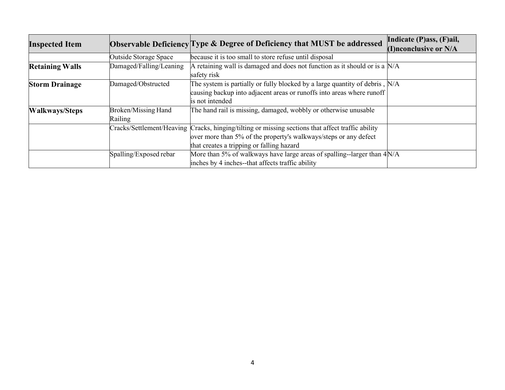|                        |                            | Observable Deficiency Type & Degree of Deficiency that MUST be addressed                          | Indicate (P)ass, (F)ail, |
|------------------------|----------------------------|---------------------------------------------------------------------------------------------------|--------------------------|
| <b>Inspected Item</b>  |                            |                                                                                                   | (I)nconclusive or N/A    |
|                        | Outside Storage Space      | because it is too small to store refuse until disposal                                            |                          |
| <b>Retaining Walls</b> | Damaged/Falling/Leaning    | A retaining wall is damaged and does not function as it should or is a $N/A$                      |                          |
|                        |                            | safety risk                                                                                       |                          |
| <b>Storm Drainage</b>  | Damaged/Obstructed         | The system is partially or fully blocked by a large quantity of debris, $N/A$                     |                          |
|                        |                            | causing backup into adjacent areas or runoffs into areas where runoff                             |                          |
|                        |                            | is not intended                                                                                   |                          |
| <b>Walkways/Steps</b>  | <b>Broken/Missing Hand</b> | The hand rail is missing, damaged, wobbly or otherwise unusable                                   |                          |
|                        | Railing                    |                                                                                                   |                          |
|                        |                            | Cracks/Settlement/Heaving Cracks, hinging/tilting or missing sections that affect traffic ability |                          |
|                        |                            | over more than 5% of the property's walkways/steps or any defect                                  |                          |
|                        |                            | that creates a tripping or falling hazard                                                         |                          |
|                        | Spalling/Exposed rebar     | More than 5% of walkways have large areas of spalling--larger than $4N/A$                         |                          |
|                        |                            | inches by 4 inches--that affects traffic ability                                                  |                          |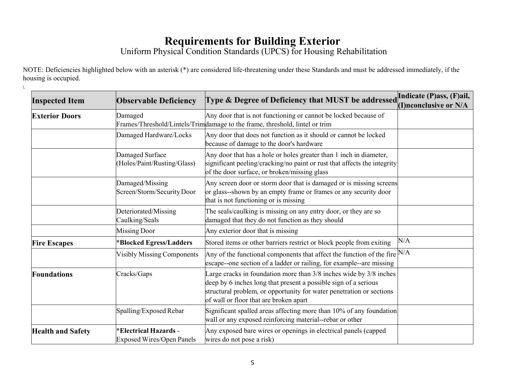#### **Requirements for Building Exterior**

Uniform Physical Condition Standards (UPCS) for Housing Rehabilitation

NOTE: Deficiencies highlighted below with an asterisk (\*) are considered life-threatening under these Standards and must be addressed immediately, if the housing is occupied.

**\** 

| <b>Inspected Item</b>    | <b>Observable Deficiency</b>                                     | Type & Degree of Deficiency that MUST be addressed                                                                                                                                                                                                      | Indicate (P)ass, (F)ail,<br>(I)nconclusive or N/A |
|--------------------------|------------------------------------------------------------------|---------------------------------------------------------------------------------------------------------------------------------------------------------------------------------------------------------------------------------------------------------|---------------------------------------------------|
| <b>Exterior Doors</b>    | Damaged                                                          | Any door that is not functioning or cannot be locked because of<br>Frames/Threshold/Lintels/Trimdamage to the frame, threshold, lintel or trim                                                                                                          |                                                   |
|                          | Damaged Hardware/Locks                                           | Any door that does not function as it should or cannot be locked<br>because of damage to the door's hardware                                                                                                                                            |                                                   |
|                          | Damaged Surface<br>(Holes/Paint/Rusting/Glass)                   | Any door that has a hole or holes greater than 1 inch in diameter,<br>significant peeling/cracking/no paint or rust that affects the integrity<br>of the door surface, or broken/missing glass                                                          |                                                   |
|                          | Damaged/Missing<br>Screen/Storm/Security Door                    | Any screen door or storm door that is damaged or is missing screens<br>or glass--shown by an empty frame or frames or any security door<br>that is not functioning or is missing                                                                        |                                                   |
|                          | Deteriorated/Missing<br>Caulking/Seals                           | The seals/caulking is missing on any entry door, or they are so<br>damaged that they do not function as they should                                                                                                                                     |                                                   |
|                          | <b>Missing Door</b>                                              | Any exterior door that is missing                                                                                                                                                                                                                       |                                                   |
| <b>Fire Escapes</b>      | *Blocked Egress/Ladders                                          | Stored items or other barriers restrict or block people from exiting                                                                                                                                                                                    | N/A                                               |
|                          | <b>Visibly Missing Components</b>                                | Any of the functional components that affect the function of the fire $N/A$<br>escape--one section of a ladder or railing, for example--are missing                                                                                                     |                                                   |
| <b>Foundations</b>       | Cracks/Gaps                                                      | Large cracks in foundation more than 3/8 inches wide by 3/8 inches<br>deep by 6 inches long that present a possible sign of a serious<br>structural problem, or opportunity for water penetration or sections<br>of wall or floor that are broken apart |                                                   |
|                          | Spalling/Exposed Rebar                                           | Significant spalled areas affecting more than 10% of any foundation<br>wall or any exposed reinforcing material--rebar or other                                                                                                                         |                                                   |
| <b>Health and Safety</b> | <b>*Electrical Hazards -</b><br><b>Exposed Wires/Open Panels</b> | Any exposed bare wires or openings in electrical panels (capped<br>wires do not pose a risk)                                                                                                                                                            |                                                   |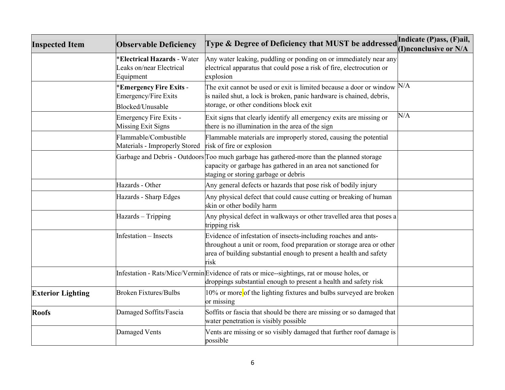| <b>Inspected Item</b>    | <b>Observable Deficiency</b>                                               | Type & Degree of Deficiency that MUST be addressed                                                                                                                                                                   | Indicate (P)ass, (F)ail,<br>(I)nconclusive or N/A |
|--------------------------|----------------------------------------------------------------------------|----------------------------------------------------------------------------------------------------------------------------------------------------------------------------------------------------------------------|---------------------------------------------------|
|                          | <b>Electrical Hazards - Water</b><br>Leaks on/near Electrical<br>Equipment | Any water leaking, puddling or ponding on or immediately near any<br>electrical apparatus that could pose a risk of fire, electrocution or<br>explosion                                                              |                                                   |
|                          | <b>Emergency Fire Exits -</b><br>Emergency/Fire Exits<br>Blocked/Unusable  | The exit cannot be used or exit is limited because a door or window<br>is nailed shut, a lock is broken, panic hardware is chained, debris,<br>storage, or other conditions block exit                               | N/A                                               |
|                          | Emergency Fire Exits -<br>Missing Exit Signs                               | Exit signs that clearly identify all emergency exits are missing or<br>there is no illumination in the area of the sign                                                                                              | N/A                                               |
|                          | Flammable/Combustible<br>Materials - Improperly Stored                     | Flammable materials are improperly stored, causing the potential<br>risk of fire or explosion                                                                                                                        |                                                   |
|                          |                                                                            | Garbage and Debris - Outdoors Too much garbage has gathered-more than the planned storage<br>capacity or garbage has gathered in an area not sanctioned for<br>staging or storing garbage or debris                  |                                                   |
|                          | Hazards - Other                                                            | Any general defects or hazards that pose risk of bodily injury                                                                                                                                                       |                                                   |
|                          | Hazards - Sharp Edges                                                      | Any physical defect that could cause cutting or breaking of human<br>skin or other bodily harm                                                                                                                       |                                                   |
|                          | Hazards - Tripping                                                         | Any physical defect in walkways or other travelled area that poses a<br>tripping risk                                                                                                                                |                                                   |
|                          | Infestation - Insects                                                      | Evidence of infestation of insects-including roaches and ants-<br>throughout a unit or room, food preparation or storage area or other<br>area of building substantial enough to present a health and safety<br>risk |                                                   |
|                          |                                                                            | Infestation - Rats/Mice/VerminEvidence of rats or mice--sightings, rat or mouse holes, or<br>droppings substantial enough to present a health and safety risk                                                        |                                                   |
| <b>Exterior Lighting</b> | <b>Broken Fixtures/Bulbs</b>                                               | 10% or more of the lighting fixtures and bulbs surveyed are broken<br>or missing                                                                                                                                     |                                                   |
| <b>Roofs</b>             | Damaged Soffits/Fascia                                                     | Soffits or fascia that should be there are missing or so damaged that<br>water penetration is visibly possible                                                                                                       |                                                   |
|                          | Damaged Vents                                                              | Vents are missing or so visibly damaged that further roof damage is<br>possible                                                                                                                                      |                                                   |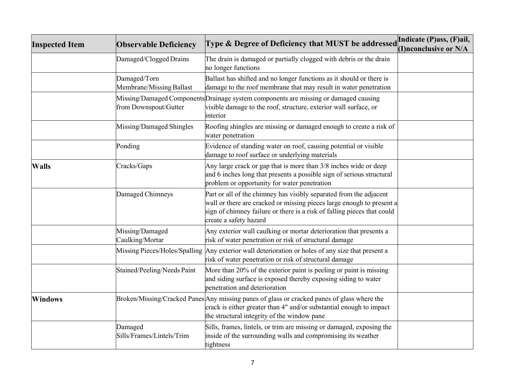| <b>Inspected Item</b> | <b>Observable Deficiency</b>             | Type & Degree of Deficiency that MUST be addressed                                                                                                                                                                                               | Indicate (P)ass, (F)ail, |
|-----------------------|------------------------------------------|--------------------------------------------------------------------------------------------------------------------------------------------------------------------------------------------------------------------------------------------------|--------------------------|
|                       |                                          |                                                                                                                                                                                                                                                  | (I)nconclusive or N/A    |
|                       | Damaged/Clogged Drains                   | The drain is damaged or partially clogged with debris or the drain<br>no longer functions                                                                                                                                                        |                          |
|                       | Damaged/Torn<br>Membrane/Missing Ballast | Ballast has shifted and no longer functions as it should or there is<br>damage to the roof membrane that may result in water penetration                                                                                                         |                          |
|                       | from Downspout/Gutter                    | Missing/Damaged ComponentsDrainage system components are missing or damaged causing<br>visible damage to the roof, structure, exterior wall surface, or<br>interior                                                                              |                          |
|                       | Missing/Damaged Shingles                 | Roofing shingles are missing or damaged enough to create a risk of<br>water penetration                                                                                                                                                          |                          |
|                       | Ponding                                  | Evidence of standing water on roof, causing potential or visible<br>damage to roof surface or underlying materials                                                                                                                               |                          |
| <b>Walls</b>          | Cracks/Gaps                              | Any large crack or gap that is more than 3/8 inches wide or deep<br>and 6 inches long that presents a possible sign of serious structural<br>problem or opportunity for water penetration                                                        |                          |
|                       | Damaged Chimneys                         | Part or all of the chimney has visibly separated from the adjacent<br>wall or there are cracked or missing pieces large enough to present a<br>sign of chimney failure or there is a risk of falling pieces that could<br>create a safety hazard |                          |
|                       | Missing/Damaged<br>Caulking/Mortar       | Any exterior wall caulking or mortar deterioration that presents a<br>risk of water penetration or risk of structural damage                                                                                                                     |                          |
|                       |                                          | Missing Pieces/Holes/Spalling Any exterior wall deterioration or holes of any size that present a<br>risk of water penetration or risk of structural damage                                                                                      |                          |
|                       | Stained/Peeling/Needs Paint              | More than 20% of the exterior paint is peeling or paint is missing<br>and siding surface is exposed thereby exposing siding to water<br>penetration and deterioration                                                                            |                          |
| <b>Windows</b>        |                                          | Broken/Missing/Cracked Panes Any missing panes of glass or cracked panes of glass where the<br>crack is either greater than 4" and/or substantial enough to impact<br>the structural integrity of the window pane                                |                          |
|                       | Damaged<br>Sills/Frames/Lintels/Trim     | Sills, frames, lintels, or trim are missing or damaged, exposing the<br>inside of the surrounding walls and compromising its weather<br>tightness                                                                                                |                          |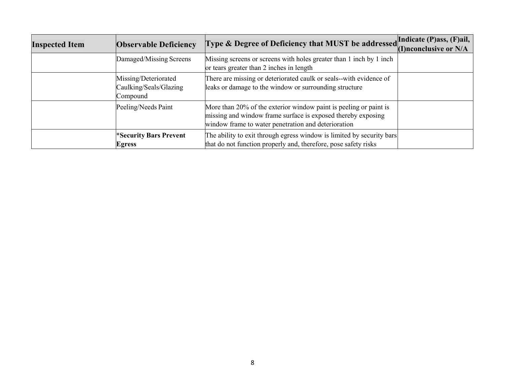| <b>Inspected Item</b> | <b>Observable Deficiency</b>                               | Type & Degree of Deficiency that MUST be addressed Indicate (P)ass, (F)ail,                                                                                                              | (I)nconclusive or N/A |
|-----------------------|------------------------------------------------------------|------------------------------------------------------------------------------------------------------------------------------------------------------------------------------------------|-----------------------|
|                       | Damaged/Missing Screens                                    | Missing screens or screens with holes greater than 1 inch by 1 inch<br>or tears greater than 2 inches in length                                                                          |                       |
|                       | Missing/Deteriorated<br>Caulking/Seals/Glazing<br>Compound | There are missing or deteriorated caulk or seals--with evidence of<br>leaks or damage to the window or surrounding structure                                                             |                       |
|                       | Peeling/Needs Paint                                        | More than 20% of the exterior window paint is peeling or paint is<br>missing and window frame surface is exposed thereby exposing<br>window frame to water penetration and deterioration |                       |
|                       | <b>*Security Bars Prevent</b><br><b>Egress</b>             | The ability to exit through egress window is limited by security bars<br>that do not function properly and, therefore, pose safety risks                                                 |                       |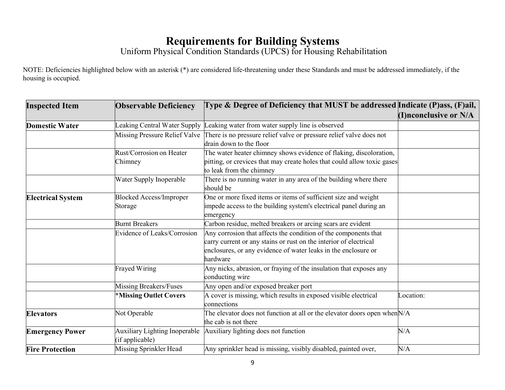#### **Requirements for Building Systems**

Uniform Physical Condition Standards (UPCS) for Housing Rehabilitation

NOTE: Deficiencies highlighted below with an asterisk (\*) are considered life-threatening under these Standards and must be addressed immediately, if the housing is occupied.

| <b>Inspected Item</b>    | <b>Observable Deficiency</b>                            | Type & Degree of Deficiency that MUST be addressed Indicate (P)ass, (F)ail,                         |                            |
|--------------------------|---------------------------------------------------------|-----------------------------------------------------------------------------------------------------|----------------------------|
|                          |                                                         |                                                                                                     | $(I)$ nconclusive or $N/A$ |
| <b>Domestic Water</b>    | Leaking Central Water Supply                            | Leaking water from water supply line is observed                                                    |                            |
|                          | Missing Pressure Relief Valve                           | There is no pressure relief valve or pressure relief valve does not                                 |                            |
|                          |                                                         | drain down to the floor                                                                             |                            |
|                          | Rust/Corrosion on Heater                                | The water heater chimney shows evidence of flaking, discoloration,                                  |                            |
|                          | Chimney                                                 | pitting, or crevices that may create holes that could allow toxic gases<br>to leak from the chimney |                            |
|                          | Water Supply Inoperable                                 | There is no running water in any area of the building where there<br>should be                      |                            |
| <b>Electrical System</b> | <b>Blocked Access/Improper</b>                          | One or more fixed items or items of sufficient size and weight                                      |                            |
|                          | Storage                                                 | impede access to the building system's electrical panel during an<br>emergency                      |                            |
|                          | <b>Burnt Breakers</b>                                   | Carbon residue, melted breakers or arcing scars are evident                                         |                            |
|                          | <b>Evidence of Leaks/Corrosion</b>                      | Any corrosion that affects the condition of the components that                                     |                            |
|                          |                                                         | carry current or any stains or rust on the interior of electrical                                   |                            |
|                          |                                                         | enclosures, or any evidence of water leaks in the enclosure or                                      |                            |
|                          |                                                         | hardware                                                                                            |                            |
|                          | Frayed Wiring                                           | Any nicks, abrasion, or fraying of the insulation that exposes any<br>conducting wire               |                            |
|                          | Missing Breakers/Fuses                                  | Any open and/or exposed breaker port                                                                |                            |
|                          | *Missing Outlet Covers                                  | A cover is missing, which results in exposed visible electrical<br>connections                      | Location:                  |
| <b>Elevators</b>         | Not Operable                                            | The elevator does not function at all or the elevator doors open when $N/A$                         |                            |
|                          |                                                         | the cab is not there                                                                                |                            |
| <b>Emergency Power</b>   | <b>Auxiliary Lighting Inoperable</b><br>(if applicable) | Auxiliary lighting does not function                                                                | N/A                        |
| <b>Fire Protection</b>   | Missing Sprinkler Head                                  | Any sprinkler head is missing, visibly disabled, painted over,                                      | N/A                        |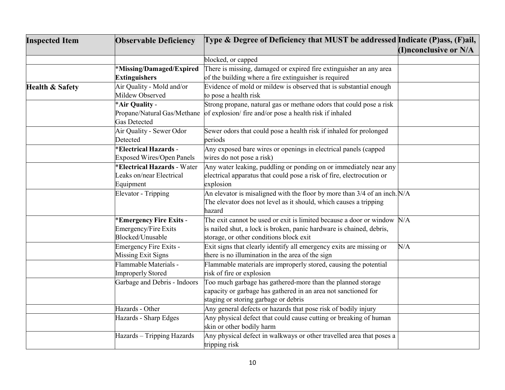| <b>Inspected Item</b>      | <b>Observable Deficiency</b>      | Type & Degree of Deficiency that MUST be addressed Indicate (P)ass, (F)ail, |                       |
|----------------------------|-----------------------------------|-----------------------------------------------------------------------------|-----------------------|
|                            |                                   |                                                                             | (I)nconclusive or N/A |
|                            |                                   | blocked, or capped                                                          |                       |
|                            | *Missing/Damaged/Expired          | There is missing, damaged or expired fire extinguisher an any area          |                       |
|                            | <b>Extinguishers</b>              | of the building where a fire extinguisher is required                       |                       |
| <b>Health &amp; Safety</b> | Air Quality - Mold and/or         | Evidence of mold or mildew is observed that is substantial enough           |                       |
|                            | Mildew Observed                   | to pose a health risk                                                       |                       |
|                            | *Air Quality -                    | Strong propane, natural gas or methane odors that could pose a risk         |                       |
|                            | Propane/Natural Gas/Methane       | of explosion/ fire and/or pose a health risk if inhaled                     |                       |
|                            | <b>Gas Detected</b>               |                                                                             |                       |
|                            | Air Quality - Sewer Odor          | Sewer odors that could pose a health risk if inhaled for prolonged          |                       |
|                            | Detected                          | periods                                                                     |                       |
|                            | <b>Electrical Hazards -</b>       | Any exposed bare wires or openings in electrical panels (capped             |                       |
|                            | <b>Exposed Wires/Open Panels</b>  | wires do not pose a risk)                                                   |                       |
|                            | <b>Electrical Hazards - Water</b> | Any water leaking, puddling or ponding on or immediately near any           |                       |
|                            | Leaks on/near Electrical          | electrical apparatus that could pose a risk of fire, electrocution or       |                       |
|                            | Equipment                         | explosion                                                                   |                       |
|                            | <b>Elevator</b> - Tripping        | An elevator is misaligned with the floor by more than $3/4$ of an inch. N/A |                       |
|                            |                                   | The elevator does not level as it should, which causes a tripping           |                       |
|                            |                                   | hazard                                                                      |                       |
|                            | *Emergency Fire Exits -           | The exit cannot be used or exit is limited because a door or window $N/A$   |                       |
|                            | <b>Emergency/Fire Exits</b>       | is nailed shut, a lock is broken, panic hardware is chained, debris,        |                       |
|                            | Blocked/Unusable                  | storage, or other conditions block exit                                     |                       |
|                            | <b>Emergency Fire Exits -</b>     | Exit signs that clearly identify all emergency exits are missing or         | N/A                   |
|                            | <b>Missing Exit Signs</b>         | there is no illumination in the area of the sign                            |                       |
|                            | Flammable Materials -             | Flammable materials are improperly stored, causing the potential            |                       |
|                            | <b>Improperly Stored</b>          | risk of fire or explosion                                                   |                       |
|                            | Garbage and Debris - Indoors      | Too much garbage has gathered-more than the planned storage                 |                       |
|                            |                                   | capacity or garbage has gathered in an area not sanctioned for              |                       |
|                            |                                   | staging or storing garbage or debris                                        |                       |
|                            | Hazards - Other                   | Any general defects or hazards that pose risk of bodily injury              |                       |
|                            | Hazards - Sharp Edges             | Any physical defect that could cause cutting or breaking of human           |                       |
|                            |                                   | skin or other bodily harm                                                   |                       |
|                            | Hazards - Tripping Hazards        | Any physical defect in walkways or other travelled area that poses a        |                       |
|                            |                                   | tripping risk                                                               |                       |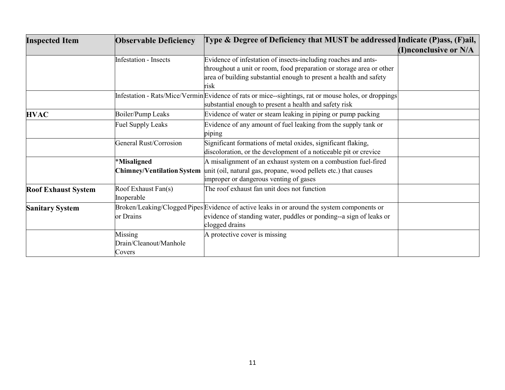| <b>Inspected Item</b>      | <b>Observable Deficiency</b>      | Type & Degree of Deficiency that MUST be addressed Indicate (P)ass, (F)ail,                         |                          |
|----------------------------|-----------------------------------|-----------------------------------------------------------------------------------------------------|--------------------------|
|                            |                                   |                                                                                                     | (I) nconclusive or $N/A$ |
|                            | <b>Infestation - Insects</b>      | Evidence of infestation of insects-including roaches and ants-                                      |                          |
|                            |                                   | throughout a unit or room, food preparation or storage area or other                                |                          |
|                            |                                   | area of building substantial enough to present a health and safety                                  |                          |
|                            |                                   | risk                                                                                                |                          |
|                            |                                   | Infestation - Rats/Mice/VerminEvidence of rats or mice--sightings, rat or mouse holes, or droppings |                          |
|                            |                                   | substantial enough to present a health and safety risk                                              |                          |
| <b>HVAC</b>                | Boiler/Pump Leaks                 | Evidence of water or steam leaking in piping or pump packing                                        |                          |
|                            | <b>Fuel Supply Leaks</b>          | Evidence of any amount of fuel leaking from the supply tank or                                      |                          |
|                            |                                   | piping                                                                                              |                          |
|                            | <b>General Rust/Corrosion</b>     | Significant formations of metal oxides, significant flaking,                                        |                          |
|                            |                                   | discoloration, or the development of a noticeable pit or crevice                                    |                          |
|                            | *Misaligned                       | A misalignment of an exhaust system on a combustion fuel-fired                                      |                          |
|                            | <b>Chimney/Ventilation System</b> | unit (oil, natural gas, propane, wood pellets etc.) that causes                                     |                          |
|                            |                                   | improper or dangerous venting of gases                                                              |                          |
| <b>Roof Exhaust System</b> | Roof Exhaust Fan(s)               | The roof exhaust fan unit does not function                                                         |                          |
|                            | Inoperable                        |                                                                                                     |                          |
| <b>Sanitary System</b>     |                                   | Broken/Leaking/Clogged Pipes Evidence of active leaks in or around the system components or         |                          |
|                            | or Drains                         | evidence of standing water, puddles or ponding--a sign of leaks or                                  |                          |
|                            |                                   | clogged drains                                                                                      |                          |
|                            | Missing                           | A protective cover is missing                                                                       |                          |
|                            | Drain/Cleanout/Manhole            |                                                                                                     |                          |
|                            | Covers                            |                                                                                                     |                          |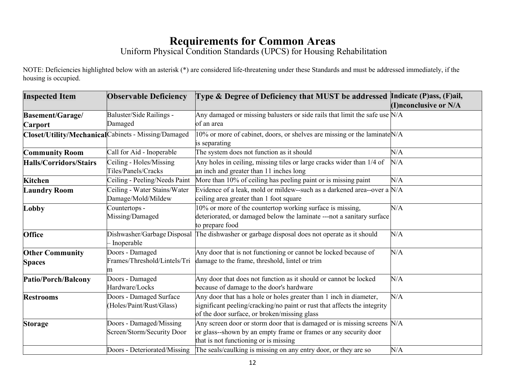#### **Requirements for Common Areas**

Uniform Physical Condition Standards (UPCS) for Housing Rehabilitation

NOTE: Deficiencies highlighted below with an asterisk (\*) are considered life-threatening under these Standards and must be addressed immediately, if the housing is occupied.

| <b>Inspected Item</b>                   | <b>Observable Deficiency</b>                          | Type & Degree of Deficiency that MUST be addressed Indicate (P)ass, (F)ail,                                                                                                                    |                       |
|-----------------------------------------|-------------------------------------------------------|------------------------------------------------------------------------------------------------------------------------------------------------------------------------------------------------|-----------------------|
|                                         |                                                       |                                                                                                                                                                                                | (I)nconclusive or N/A |
| <b>Basement/Garage/</b>                 | Baluster/Side Railings -                              | Any damaged or missing balusters or side rails that limit the safe use $N/A$                                                                                                                   |                       |
| <b>Carport</b>                          | Damaged                                               | of an area                                                                                                                                                                                     |                       |
|                                         | Closet/Utility/Mechanical Cabinets - Missing/Damaged  | $10\%$ or more of cabinet, doors, or shelves are missing or the laminate $N/A$<br>is separating                                                                                                |                       |
| <b>Community Room</b>                   | Call for Aid - Inoperable                             | The system does not function as it should                                                                                                                                                      | N/A                   |
| <b>Halls/Corridors/Stairs</b>           | Ceiling - Holes/Missing<br>Tiles/Panels/Cracks        | Any holes in ceiling, missing tiles or large cracks wider than 1/4 of<br>an inch and greater than 11 inches long                                                                               | N/A                   |
| <b>Kitchen</b>                          | Ceiling - Peeling/Needs Paint                         | More than 10% of ceiling has peeling paint or is missing paint                                                                                                                                 | N/A                   |
| <b>Laundry Room</b>                     | Ceiling - Water Stains/Water<br>Damage/Mold/Mildew    | Evidence of a leak, mold or mildew--such as a darkened area--over a N/A<br>ceiling area greater than 1 foot square                                                                             |                       |
| Lobby                                   | Countertops -<br>Missing/Damaged                      | 0% or more of the countertop working surface is missing,<br>deteriorated, or damaged below the laminate ---not a sanitary surface<br>to prepare food                                           | N/A                   |
| <b>Office</b>                           | Dishwasher/Garbage Disposal<br>- Inoperable           | The dishwasher or garbage disposal does not operate as it should                                                                                                                               | N/A                   |
| <b>Other Community</b><br><b>Spaces</b> | Doors - Damaged<br>Frames/Threshold/Lintels/Tri       | Any door that is not functioning or cannot be locked because of<br>damage to the frame, threshold, lintel or trim                                                                              | N/A                   |
| Patio/Porch/Balcony                     | Doors - Damaged<br>Hardware/Locks                     | Any door that does not function as it should or cannot be locked<br>because of damage to the door's hardware                                                                                   | N/A                   |
| <b>Restrooms</b>                        | Doors - Damaged Surface<br>(Holes/Paint/Rust/Glass)   | Any door that has a hole or holes greater than 1 inch in diameter,<br>significant peeling/cracking/no paint or rust that affects the integrity<br>of the door surface, or broken/missing glass | N/A                   |
| <b>Storage</b>                          | Doors - Damaged/Missing<br>Screen/Storm/Security Door | Any screen door or storm door that is damaged or is missing screens $N/A$<br>or glass--shown by an empty frame or frames or any security door<br>that is not functioning or is missing         |                       |
|                                         | Doors - Deteriorated/Missing                          | The seals/caulking is missing on any entry door, or they are so                                                                                                                                | N/A                   |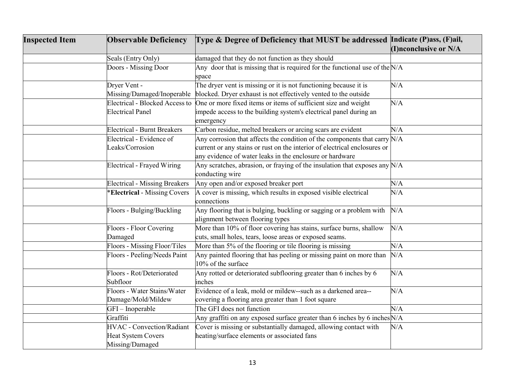| <b>Inspected Item</b> | <b>Observable Deficiency</b>         | Type & Degree of Deficiency that MUST be addressed Indicate (P)ass, (F)ail,   |                       |
|-----------------------|--------------------------------------|-------------------------------------------------------------------------------|-----------------------|
|                       |                                      |                                                                               | (I)nconclusive or N/A |
|                       | Seals (Entry Only)                   | damaged that they do not function as they should                              |                       |
|                       | Doors - Missing Door                 | Any door that is missing that is required for the functional use of the $N/A$ |                       |
|                       |                                      | space                                                                         |                       |
|                       | Dryer Vent -                         | The dryer vent is missing or it is not functioning because it is              | N/A                   |
|                       | Missing/Damaged/Inoperable           | blocked. Dryer exhaust is not effectively vented to the outside               |                       |
|                       | Electrical - Blocked Access to       | One or more fixed items or items of sufficient size and weight                | N/A                   |
|                       | <b>Electrical Panel</b>              | impede access to the building system's electrical panel during an             |                       |
|                       |                                      | emergency                                                                     |                       |
|                       | <b>Electrical - Burnt Breakers</b>   | Carbon residue, melted breakers or arcing scars are evident                   | N/A                   |
|                       | Electrical - Evidence of             | Any corrosion that affects the condition of the components that carry $N/A$   |                       |
|                       | Leaks/Corrosion                      | current or any stains or rust on the interior of electrical enclosures or     |                       |
|                       |                                      | any evidence of water leaks in the enclosure or hardware                      |                       |
|                       | Electrical - Frayed Wiring           | Any scratches, abrasion, or fraying of the insulation that exposes any $N/A$  |                       |
|                       |                                      | conducting wire                                                               |                       |
|                       | <b>Electrical - Missing Breakers</b> | Any open and/or exposed breaker port                                          | N/A                   |
|                       | *Electrical - Missing Covers         | A cover is missing, which results in exposed visible electrical               | N/A                   |
|                       |                                      | connections                                                                   |                       |
|                       | Floors - Bulging/Buckling            | Any flooring that is bulging, buckling or sagging or a problem with           | N/A                   |
|                       |                                      | alignment between flooring types                                              |                       |
|                       | Floors - Floor Covering              | More than 10% of floor covering has stains, surface burns, shallow            | N/A                   |
|                       | Damaged                              | cuts, small holes, tears, loose areas or exposed seams.                       |                       |
|                       | Floors - Missing Floor/Tiles         | More than 5% of the flooring or tile flooring is missing                      | N/A                   |
|                       | Floors - Peeling/Needs Paint         | Any painted flooring that has peeling or missing paint on more than           | N/A                   |
|                       |                                      | 10% of the surface                                                            |                       |
|                       | Floors - Rot/Deteriorated            | Any rotted or deteriorated subflooring greater than 6 inches by 6             | N/A                   |
|                       | Subfloor                             | inches                                                                        |                       |
|                       | Floors - Water Stains/Water          | Evidence of a leak, mold or mildew--such as a darkened area--                 | N/A                   |
|                       | Damage/Mold/Mildew                   | covering a flooring area greater than 1 foot square                           |                       |
|                       | GFI-Inoperable                       | The GFI does not function                                                     | N/A                   |
|                       | Graffiti                             | Any graffiti on any exposed surface greater than 6 inches by 6 inches $N/A$   |                       |
|                       | <b>HVAC</b> - Convection/Radiant     | Cover is missing or substantially damaged, allowing contact with              | N/A                   |
|                       | <b>Heat System Covers</b>            | heating/surface elements or associated fans                                   |                       |
|                       | Missing/Damaged                      |                                                                               |                       |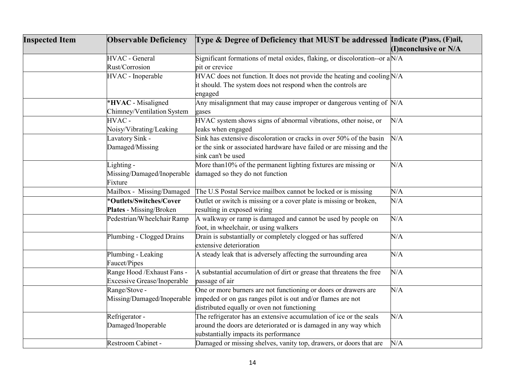| <b>Inspected Item</b> | <b>Observable Deficiency</b>       | Type & Degree of Deficiency that MUST be addressed Indicate (P)ass, (F)ail,   |                       |
|-----------------------|------------------------------------|-------------------------------------------------------------------------------|-----------------------|
|                       |                                    |                                                                               | (I)nconclusive or N/A |
|                       | <b>HVAC</b> - General              | Significant formations of metal oxides, flaking, or discoloration--or a $N/A$ |                       |
|                       | Rust/Corrosion                     | pit or crevice                                                                |                       |
|                       | HVAC - Inoperable                  | HVAC does not function. It does not provide the heating and cooling $N/A$     |                       |
|                       |                                    | it should. The system does not respond when the controls are                  |                       |
|                       |                                    | engaged                                                                       |                       |
|                       | *HVAC - Misaligned                 | Any misalignment that may cause improper or dangerous venting of $N/A$        |                       |
|                       | Chimney/Ventilation System         | gases                                                                         |                       |
|                       | HVAC-                              | HVAC system shows signs of abnormal vibrations, other noise, or               | N/A                   |
|                       | Noisy/Vibrating/Leaking            | leaks when engaged                                                            |                       |
|                       | Lavatory Sink -                    | Sink has extensive discoloration or cracks in over 50% of the basin           | N/A                   |
|                       | Damaged/Missing                    | or the sink or associated hardware have failed or are missing and the         |                       |
|                       |                                    | sink can't be used                                                            |                       |
|                       | Lighting -                         | More than 10% of the permanent lighting fixtures are missing or               | N/A                   |
|                       | Missing/Damaged/Inoperable         | damaged so they do not function                                               |                       |
|                       | Fixture                            |                                                                               |                       |
|                       | Mailbox - Missing/Damaged          | The U.S Postal Service mailbox cannot be locked or is missing                 | N/A                   |
|                       | *Outlets/Switches/Cover            | Outlet or switch is missing or a cover plate is missing or broken,            | N/A                   |
|                       | Plates - Missing/Broken            | resulting in exposed wiring                                                   |                       |
|                       | Pedestrian/Wheelchair Ramp         | A walkway or ramp is damaged and cannot be used by people on                  | N/A                   |
|                       |                                    | foot, in wheelchair, or using walkers                                         |                       |
|                       | Plumbing - Clogged Drains          | Drain is substantially or completely clogged or has suffered                  | N/A                   |
|                       |                                    | extensive deterioration                                                       |                       |
|                       | Plumbing - Leaking                 | A steady leak that is adversely affecting the surrounding area                | N/A                   |
|                       | Faucet/Pipes                       |                                                                               |                       |
|                       | Range Hood / Exhaust Fans -        | A substantial accumulation of dirt or grease that threatens the free          | N/A                   |
|                       | <b>Excessive Grease/Inoperable</b> | passage of air                                                                |                       |
|                       | Range/Stove -                      | One or more burners are not functioning or doors or drawers are               | N/A                   |
|                       | Missing/Damaged/Inoperable         | impeded or on gas ranges pilot is out and/or flames are not                   |                       |
|                       |                                    | distributed equally or oven not functioning                                   |                       |
|                       | Refrigerator -                     | The refrigerator has an extensive accumulation of ice or the seals            | N/A                   |
|                       | Damaged/Inoperable                 | around the doors are deteriorated or is damaged in any way which              |                       |
|                       |                                    | substantially impacts its performance                                         |                       |
|                       | Restroom Cabinet -                 | Damaged or missing shelves, vanity top, drawers, or doors that are            | N/A                   |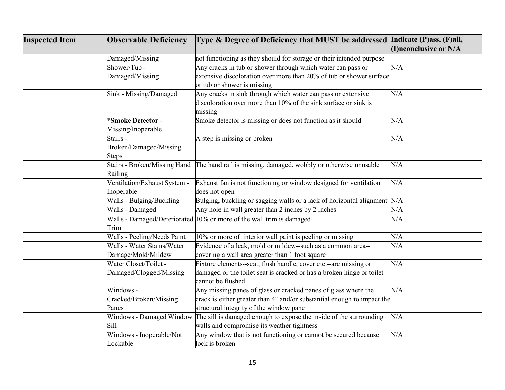| <b>Inspected Item</b> | <b>Observable Deficiency</b> | Type & Degree of Deficiency that MUST be addressed Indicate (P)ass, (F)ail, |                       |
|-----------------------|------------------------------|-----------------------------------------------------------------------------|-----------------------|
|                       |                              |                                                                             | (I)nconclusive or N/A |
|                       | Damaged/Missing              | not functioning as they should for storage or their intended purpose        |                       |
|                       | Shower/Tub-                  | Any cracks in tub or shower through which water can pass or                 | N/A                   |
|                       | Damaged/Missing              | extensive discoloration over more than 20% of tub or shower surface         |                       |
|                       |                              | or tub or shower is missing                                                 |                       |
|                       | Sink - Missing/Damaged       | Any cracks in sink through which water can pass or extensive                | N/A                   |
|                       |                              | discoloration over more than 10% of the sink surface or sink is             |                       |
|                       |                              | missing                                                                     |                       |
|                       | *Smoke Detector -            | Smoke detector is missing or does not function as it should                 | N/A                   |
|                       | Missing/Inoperable           |                                                                             |                       |
|                       | Stairs -                     | A step is missing or broken                                                 | N/A                   |
|                       | Broken/Damaged/Missing       |                                                                             |                       |
|                       | <b>Steps</b>                 |                                                                             |                       |
|                       | Stairs - Broken/Missing Hand | The hand rail is missing, damaged, wobbly or otherwise unusable             | N/A                   |
|                       | Railing                      |                                                                             |                       |
|                       | Ventilation/Exhaust System - | Exhaust fan is not functioning or window designed for ventilation           | N/A                   |
|                       | Inoperable                   | does not open                                                               |                       |
|                       | Walls - Bulging/Buckling     | Bulging, buckling or sagging walls or a lack of horizontal alignment $N/A$  |                       |
|                       | Walls - Damaged              | Any hole in wall greater than 2 inches by 2 inches                          | N/A                   |
|                       |                              | Walls - Damaged/Deteriorated 10% or more of the wall trim is damaged        | N/A                   |
|                       | Trim                         |                                                                             |                       |
|                       | Walls - Peeling/Needs Paint  | 10% or more of interior wall paint is peeling or missing                    | N/A                   |
|                       | Walls - Water Stains/Water   | Evidence of a leak, mold or mildew--such as a common area--                 | N/A                   |
|                       | Damage/Mold/Mildew           | covering a wall area greater than 1 foot square                             |                       |
|                       | Water Closet/Toilet -        | Fixture elements--seat, flush handle, cover etc.--are missing or            | N/A                   |
|                       | Damaged/Clogged/Missing      | damaged or the toilet seat is cracked or has a broken hinge or toilet       |                       |
|                       |                              | cannot be flushed                                                           |                       |
|                       | Windows -                    | Any missing panes of glass or cracked panes of glass where the              | N/A                   |
|                       | Cracked/Broken/Missing       | crack is either greater than 4" and/or substantial enough to impact the     |                       |
|                       | Panes                        | structural integrity of the window pane                                     |                       |
|                       | Windows - Damaged Window     | The sill is damaged enough to expose the inside of the surrounding          | N/A                   |
|                       | Sill                         | walls and compromise its weather tightness                                  |                       |
|                       | Windows - Inoperable/Not     | Any window that is not functioning or cannot be secured because             | N/A                   |
|                       | Lockable                     | lock is broken                                                              |                       |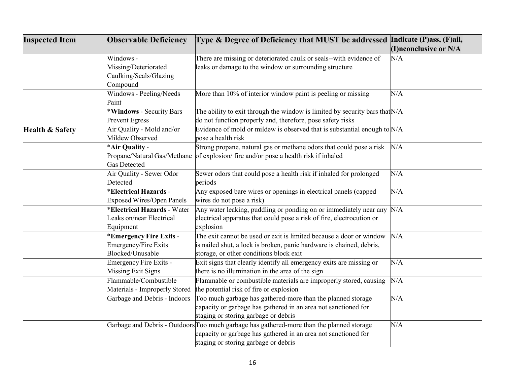| <b>Inspected Item</b>      | <b>Observable Deficiency</b>       | Type & Degree of Deficiency that MUST be addressed Indicate (P)ass, (F)ail,               |                       |
|----------------------------|------------------------------------|-------------------------------------------------------------------------------------------|-----------------------|
|                            |                                    |                                                                                           | (I)nconclusive or N/A |
|                            | Windows -                          | There are missing or deteriorated caulk or seals--with evidence of                        | N/A                   |
|                            | Missing/Deteriorated               | leaks or damage to the window or surrounding structure                                    |                       |
|                            | Caulking/Seals/Glazing             |                                                                                           |                       |
|                            | Compound                           |                                                                                           |                       |
|                            | Windows - Peeling/Needs            | More than 10% of interior window paint is peeling or missing                              | N/A                   |
|                            | Paint                              |                                                                                           |                       |
|                            | *Windows - Security Bars           | The ability to exit through the window is limited by security bars that $N/A$             |                       |
|                            | <b>Prevent Egress</b>              | do not function properly and, therefore, pose safety risks                                |                       |
| <b>Health &amp; Safety</b> | Air Quality - Mold and/or          | Evidence of mold or mildew is observed that is substantial enough to $N/A$                |                       |
|                            | Mildew Observed                    | pose a health risk                                                                        |                       |
|                            | *Air Quality -                     | Strong propane, natural gas or methane odors that could pose a risk                       | N/A                   |
|                            | Propane/Natural Gas/Methane        | of explosion/ fire and/or pose a health risk if inhaled                                   |                       |
|                            | Gas Detected                       |                                                                                           |                       |
|                            | Air Quality - Sewer Odor           | Sewer odors that could pose a health risk if inhaled for prolonged                        | N/A                   |
|                            | Detected                           | periods                                                                                   |                       |
|                            | <b>*Electrical Hazards -</b>       | Any exposed bare wires or openings in electrical panels (capped                           | N/A                   |
|                            | <b>Exposed Wires/Open Panels</b>   | wires do not pose a risk)                                                                 |                       |
|                            | <b>*Electrical Hazards - Water</b> | Any water leaking, puddling or ponding on or immediately near any $N/A$                   |                       |
|                            | Leaks on/near Electrical           | electrical apparatus that could pose a risk of fire, electrocution or                     |                       |
|                            | Equipment                          | explosion                                                                                 |                       |
|                            | *Emergency Fire Exits -            | The exit cannot be used or exit is limited because a door or window                       | N/A                   |
|                            | <b>Emergency/Fire Exits</b>        | is nailed shut, a lock is broken, panic hardware is chained, debris,                      |                       |
|                            | Blocked/Unusable                   | storage, or other conditions block exit                                                   |                       |
|                            | Emergency Fire Exits -             | Exit signs that clearly identify all emergency exits are missing or                       | N/A                   |
|                            | <b>Missing Exit Signs</b>          | there is no illumination in the area of the sign                                          |                       |
|                            | Flammable/Combustible              | Flammable or combustible materials are improperly stored, causing                         | N/A                   |
|                            | Materials - Improperly Stored      | the potential risk of fire or explosion                                                   |                       |
|                            | Garbage and Debris - Indoors       | Too much garbage has gathered-more than the planned storage                               | N/A                   |
|                            |                                    | capacity or garbage has gathered in an area not sanctioned for                            |                       |
|                            |                                    | staging or storing garbage or debris                                                      |                       |
|                            |                                    | Garbage and Debris - Outdoors Too much garbage has gathered-more than the planned storage | N/A                   |
|                            |                                    | capacity or garbage has gathered in an area not sanctioned for                            |                       |
|                            |                                    | staging or storing garbage or debris                                                      |                       |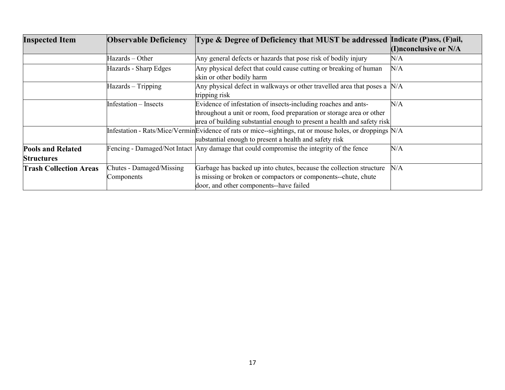| <b>Inspected Item</b>                         | <b>Observable Deficiency</b>           | Type & Degree of Deficiency that MUST be addressed                                                                                                                                                                | Indicate (P)ass, (F)ail, |
|-----------------------------------------------|----------------------------------------|-------------------------------------------------------------------------------------------------------------------------------------------------------------------------------------------------------------------|--------------------------|
|                                               |                                        |                                                                                                                                                                                                                   | (I)nconclusive or N/A    |
|                                               | Hazards – Other                        | Any general defects or hazards that pose risk of bodily injury                                                                                                                                                    | N/A                      |
|                                               | Hazards - Sharp Edges                  | Any physical defect that could cause cutting or breaking of human<br>skin or other bodily harm                                                                                                                    | N/A                      |
|                                               | Hazards - Tripping                     | Any physical defect in walkways or other travelled area that poses a $N/A$<br>tripping risk                                                                                                                       |                          |
|                                               | Infestation – Insects                  | Evidence of infestation of insects-including roaches and ants-<br>throughout a unit or room, food preparation or storage area or other<br>area of building substantial enough to present a health and safety risk | N/A                      |
|                                               |                                        | Infestation - Rats/Mice/VerminEvidence of rats or mice--sightings, rat or mouse holes, or droppings N/A<br>substantial enough to present a health and safety risk                                                 |                          |
| <b>Pools and Related</b><br><b>Structures</b> |                                        | Fencing - Damaged/Not Intact Any damage that could compromise the integrity of the fence                                                                                                                          | N/A                      |
| <b>Trash Collection Areas</b>                 | Chutes - Damaged/Missing<br>Components | Garbage has backed up into chutes, because the collection structure<br>is missing or broken or compactors or components--chute, chute<br>door, and other components--have failed                                  | N/A                      |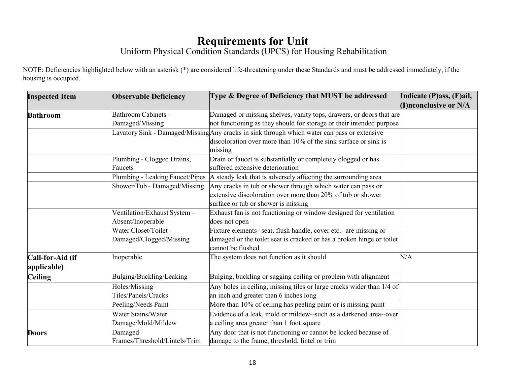## **Requirements for Unit**

#### Uniform Physical Condition Standards (UPCS) for Housing Rehabilitation

NOTE: Deficiencies highlighted below with an asterisk (\*) are considered life-threatening under these Standards and must be addressed immediately, if the housing is occupied.

| <b>Inspected Item</b> | <b>Observable Deficiency</b>    | Type & Degree of Deficiency that MUST be addressed                                           | Indicate (P)ass, (F)ail, |
|-----------------------|---------------------------------|----------------------------------------------------------------------------------------------|--------------------------|
|                       |                                 |                                                                                              | (I)nconclusive or N/A    |
| <b>Bathroom</b>       | <b>Bathroom Cabinets -</b>      | Damaged or missing shelves, vanity tops, drawers, or doors that are                          |                          |
|                       | Damaged/Missing                 | not functioning as they should for storage or their intended purpose                         |                          |
|                       |                                 | Lavatory Sink - Damaged/Missing Any cracks in sink through which water can pass or extensive |                          |
|                       |                                 | discoloration over more than 10% of the sink surface or sink is                              |                          |
|                       |                                 | missing                                                                                      |                          |
|                       | Plumbing - Clogged Drains,      | Drain or faucet is substantially or completely clogged or has                                |                          |
|                       | Faucets                         | suffered extensive deterioration                                                             |                          |
|                       | Plumbing - Leaking Faucet/Pipes | A steady leak that is adversely affecting the surrounding area                               |                          |
|                       | Shower/Tub - Damaged/Missing    | Any cracks in tub or shower through which water can pass or                                  |                          |
|                       |                                 | extensive discoloration over more than 20% of tub or shower                                  |                          |
|                       |                                 | surface or tub or shower is missing                                                          |                          |
|                       | Ventilation/Exhaust System -    | Exhaust fan is not functioning or window designed for ventilation                            |                          |
|                       | Absent/Inoperable               | does not open                                                                                |                          |
|                       | Water Closet/Toilet -           | Fixture elements-seat, flush handle, cover etc.--are missing or                              |                          |
|                       | Damaged/Clogged/Missing         | damaged or the toilet seat is cracked or has a broken hinge or toilet<br>cannot be flushed   |                          |
| Call-for-Aid (if      | Inoperable                      | The system does not function as it should                                                    | N/A                      |
| applicable)           |                                 |                                                                                              |                          |
| <b>Ceiling</b>        | Bulging/Buckling/Leaking        | Bulging, buckling or sagging ceiling or problem with alignment                               |                          |
|                       | Holes/Missing                   | Any holes in ceiling, missing tiles or large cracks wider than 1/4 of                        |                          |
|                       | Tiles/Panels/Cracks             | an inch and greater than 6 inches long                                                       |                          |
|                       | Peeling/Needs Paint             | More than 10% of ceiling has peeling paint or is missing paint                               |                          |
|                       | Water Stains/Water              | Evidence of a leak, mold or mildew--such as a darkened area--over                            |                          |
|                       | Damage/Mold/Mildew              | a ceiling area greater than 1 foot square                                                    |                          |
| <b>Doors</b>          | Damaged                         | Any door that is not functioning or cannot be locked because of                              |                          |
|                       | Frames/Threshold/Lintels/Trim   | damage to the frame, threshold, lintel or trim                                               |                          |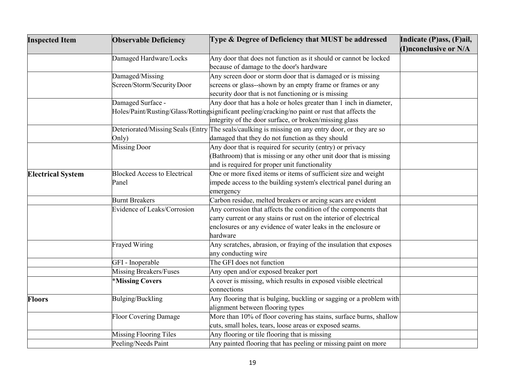| <b>Inspected Item</b>    | <b>Observable Deficiency</b>        | Type & Degree of Deficiency that MUST be addressed                                                | Indicate (P)ass, (F)ail, |
|--------------------------|-------------------------------------|---------------------------------------------------------------------------------------------------|--------------------------|
|                          |                                     |                                                                                                   | (I)nconclusive or N/A    |
|                          | Damaged Hardware/Locks              | Any door that does not function as it should or cannot be locked                                  |                          |
|                          |                                     | because of damage to the door's hardware                                                          |                          |
|                          | Damaged/Missing                     | Any screen door or storm door that is damaged or is missing                                       |                          |
|                          | Screen/Storm/Security Door          | screens or glass--shown by an empty frame or frames or any                                        |                          |
|                          |                                     | security door that is not functioning or is missing                                               |                          |
|                          | Damaged Surface -                   | Any door that has a hole or holes greater than 1 inch in diameter,                                |                          |
|                          |                                     | Holes/Paint/Rusting/Glass/Rottingsignificant peeling/cracking/no paint or rust that affects the   |                          |
|                          |                                     | integrity of the door surface, or broken/missing glass                                            |                          |
|                          |                                     | Deteriorated/Missing Seals (Entry The seals/caulking is missing on any entry door, or they are so |                          |
|                          | Only)                               | damaged that they do not function as they should                                                  |                          |
|                          | <b>Missing Door</b>                 | Any door that is required for security (entry) or privacy                                         |                          |
|                          |                                     | Bathroom) that is missing or any other unit door that is missing                                  |                          |
|                          |                                     | and is required for proper unit functionality                                                     |                          |
| <b>Electrical System</b> | <b>Blocked Access to Electrical</b> | One or more fixed items or items of sufficient size and weight                                    |                          |
|                          | Panel                               | impede access to the building system's electrical panel during an                                 |                          |
|                          |                                     | emergency                                                                                         |                          |
|                          | <b>Burnt Breakers</b>               | Carbon residue, melted breakers or arcing scars are evident                                       |                          |
|                          | Evidence of Leaks/Corrosion         | Any corrosion that affects the condition of the components that                                   |                          |
|                          |                                     | carry current or any stains or rust on the interior of electrical                                 |                          |
|                          |                                     | enclosures or any evidence of water leaks in the enclosure or                                     |                          |
|                          |                                     | hardware                                                                                          |                          |
|                          | <b>Frayed Wiring</b>                | Any scratches, abrasion, or fraying of the insulation that exposes                                |                          |
|                          |                                     | any conducting wire                                                                               |                          |
|                          | GFI - Inoperable                    | The GFI does not function                                                                         |                          |
|                          | <b>Missing Breakers/Fuses</b>       | Any open and/or exposed breaker port                                                              |                          |
|                          | *Missing Covers                     | A cover is missing, which results in exposed visible electrical                                   |                          |
|                          |                                     | connections                                                                                       |                          |
| <b>Floors</b>            | Bulging/Buckling                    | Any flooring that is bulging, buckling or sagging or a problem with                               |                          |
|                          |                                     | alignment between flooring types                                                                  |                          |
|                          | <b>Floor Covering Damage</b>        | More than 10% of floor covering has stains, surface burns, shallow                                |                          |
|                          |                                     | cuts, small holes, tears, loose areas or exposed seams.                                           |                          |
|                          | <b>Missing Flooring Tiles</b>       | Any flooring or tile flooring that is missing                                                     |                          |
|                          | Peeling/Needs Paint                 | Any painted flooring that has peeling or missing paint on more                                    |                          |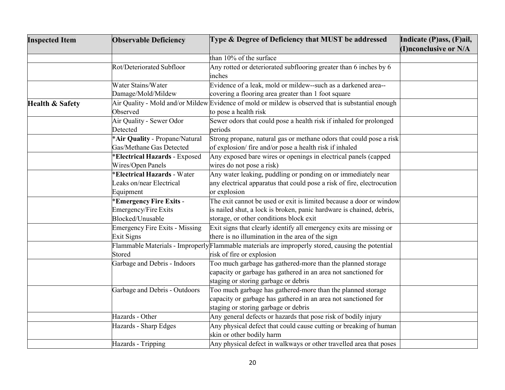| <b>Inspected Item</b>      | <b>Observable Deficiency</b>          | Type & Degree of Deficiency that MUST be addressed                                                 | Indicate (P)ass, (F)ail, |
|----------------------------|---------------------------------------|----------------------------------------------------------------------------------------------------|--------------------------|
|                            |                                       |                                                                                                    | (I)nconclusive or N/A    |
|                            |                                       | than 10% of the surface                                                                            |                          |
|                            | Rot/Deteriorated Subfloor             | Any rotted or deteriorated subflooring greater than 6 inches by 6                                  |                          |
|                            |                                       | inches                                                                                             |                          |
|                            | Water Stains/Water                    | Evidence of a leak, mold or mildew--such as a darkened area--                                      |                          |
|                            | Damage/Mold/Mildew                    | covering a flooring area greater than 1 foot square                                                |                          |
| <b>Health &amp; Safety</b> |                                       | Air Quality - Mold and/or Mildew Evidence of mold or mildew is observed that is substantial enough |                          |
|                            | Observed                              | to pose a health risk                                                                              |                          |
|                            | Air Quality - Sewer Odor              | Sewer odors that could pose a health risk if inhaled for prolonged                                 |                          |
|                            | Detected                              | periods                                                                                            |                          |
|                            | *Air Quality - Propane/Natural        | Strong propane, natural gas or methane odors that could pose a risk                                |                          |
|                            | Gas/Methane Gas Detected              | of explosion/ fire and/or pose a health risk if inhaled                                            |                          |
|                            | <b>Electrical Hazards - Exposed</b>   | Any exposed bare wires or openings in electrical panels (capped                                    |                          |
|                            | Wires/Open Panels                     | wires do not pose a risk)                                                                          |                          |
|                            | <b>Electrical Hazards - Water</b>     | Any water leaking, puddling or ponding on or immediately near                                      |                          |
|                            | Leaks on/near Electrical              | any electrical apparatus that could pose a risk of fire, electrocution                             |                          |
|                            | Equipment                             | or explosion                                                                                       |                          |
|                            | <b>Emergency Fire Exits -</b>         | The exit cannot be used or exit is limited because a door or window                                |                          |
|                            | Emergency/Fire Exits                  | is nailed shut, a lock is broken, panic hardware is chained, debris,                               |                          |
|                            | Blocked/Unusable                      | storage, or other conditions block exit                                                            |                          |
|                            | <b>Emergency Fire Exits - Missing</b> | Exit signs that clearly identify all emergency exits are missing or                                |                          |
|                            | Exit Signs                            | there is no illumination in the area of the sign                                                   |                          |
|                            |                                       | Flammable Materials - ImproperlyFlammable materials are improperly stored, causing the potential   |                          |
|                            | Stored                                | risk of fire or explosion                                                                          |                          |
|                            | Garbage and Debris - Indoors          | Too much garbage has gathered-more than the planned storage                                        |                          |
|                            |                                       | capacity or garbage has gathered in an area not sanctioned for                                     |                          |
|                            |                                       | staging or storing garbage or debris                                                               |                          |
|                            | Garbage and Debris - Outdoors         | Too much garbage has gathered-more than the planned storage                                        |                          |
|                            |                                       | capacity or garbage has gathered in an area not sanctioned for                                     |                          |
|                            |                                       | staging or storing garbage or debris                                                               |                          |
|                            | Hazards - Other                       | Any general defects or hazards that pose risk of bodily injury                                     |                          |
|                            | Hazards - Sharp Edges                 | Any physical defect that could cause cutting or breaking of human                                  |                          |
|                            |                                       | skin or other bodily harm                                                                          |                          |
|                            | Hazards - Tripping                    | Any physical defect in walkways or other travelled area that poses                                 |                          |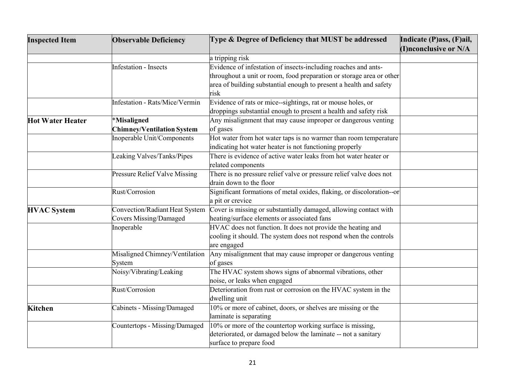| <b>Inspected Item</b>   | <b>Observable Deficiency</b>          | Type & Degree of Deficiency that MUST be addressed                    | Indicate (P)ass, (F)ail, |
|-------------------------|---------------------------------------|-----------------------------------------------------------------------|--------------------------|
|                         |                                       |                                                                       | (I)nconclusive or N/A    |
|                         |                                       | a tripping risk                                                       |                          |
|                         | <b>Infestation - Insects</b>          | Evidence of infestation of insects-including roaches and ants-        |                          |
|                         |                                       | throughout a unit or room, food preparation or storage area or other  |                          |
|                         |                                       | area of building substantial enough to present a health and safety    |                          |
|                         |                                       | risk                                                                  |                          |
|                         | <b>Infestation - Rats/Mice/Vermin</b> | Evidence of rats or mice--sightings, rat or mouse holes, or           |                          |
|                         |                                       | droppings substantial enough to present a health and safety risk      |                          |
| <b>Hot Water Heater</b> | <b>Misaligned</b>                     | Any misalignment that may cause improper or dangerous venting         |                          |
|                         | <b>Chimney/Ventilation System</b>     | of gases                                                              |                          |
|                         | Inoperable Unit/Components            | Hot water from hot water taps is no warmer than room temperature      |                          |
|                         |                                       | indicating hot water heater is not functioning properly               |                          |
|                         | Leaking Valves/Tanks/Pipes            | There is evidence of active water leaks from hot water heater or      |                          |
|                         |                                       | related components                                                    |                          |
|                         | Pressure Relief Valve Missing         | There is no pressure relief valve or pressure relief valve does not   |                          |
|                         |                                       | drain down to the floor                                               |                          |
|                         | Rust/Corrosion                        | Significant formations of metal oxides, flaking, or discoloration--or |                          |
|                         |                                       | a pit or crevice                                                      |                          |
| <b>HVAC</b> System      | Convection/Radiant Heat System        | Cover is missing or substantially damaged, allowing contact with      |                          |
|                         | <b>Covers Missing/Damaged</b>         | heating/surface elements or associated fans                           |                          |
|                         | Inoperable                            | HVAC does not function. It does not provide the heating and           |                          |
|                         |                                       | cooling it should. The system does not respond when the controls      |                          |
|                         |                                       | are engaged                                                           |                          |
|                         | Misaligned Chimney/Ventilation        | Any misalignment that may cause improper or dangerous venting         |                          |
|                         | System                                | of gases                                                              |                          |
|                         | Noisy/Vibrating/Leaking               | The HVAC system shows signs of abnormal vibrations, other             |                          |
|                         |                                       | noise, or leaks when engaged                                          |                          |
|                         | Rust/Corrosion                        | Deterioration from rust or corrosion on the HVAC system in the        |                          |
|                         |                                       | dwelling unit                                                         |                          |
| <b>Kitchen</b>          | Cabinets - Missing/Damaged            | 10% or more of cabinet, doors, or shelves are missing or the          |                          |
|                         |                                       | laminate is separating                                                |                          |
|                         | Countertops - Missing/Damaged         | 10% or more of the countertop working surface is missing,             |                          |
|                         |                                       | deteriorated, or damaged below the laminate -- not a sanitary         |                          |
|                         |                                       | surface to prepare food                                               |                          |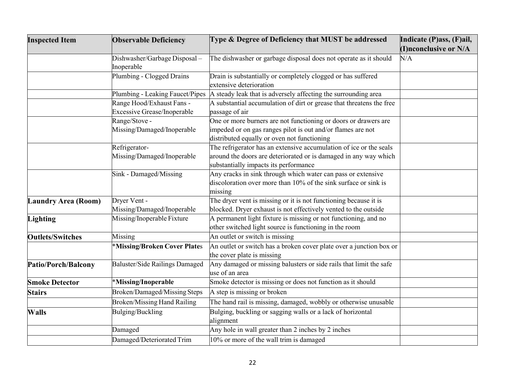| <b>Inspected Item</b>      | <b>Observable Deficiency</b>       | Type & Degree of Deficiency that MUST be addressed                   | Indicate (P)ass, (F)ail, |
|----------------------------|------------------------------------|----------------------------------------------------------------------|--------------------------|
|                            |                                    |                                                                      | (I)nconclusive or N/A    |
|                            | Dishwasher/Garbage Disposal-       | The dishwasher or garbage disposal does not operate as it should     | N/A                      |
|                            | Inoperable                         |                                                                      |                          |
|                            | Plumbing - Clogged Drains          | Drain is substantially or completely clogged or has suffered         |                          |
|                            |                                    | extensive deterioration                                              |                          |
|                            | Plumbing - Leaking Faucet/Pipes    | A steady leak that is adversely affecting the surrounding area       |                          |
|                            | Range Hood/Exhaust Fans -          | A substantial accumulation of dirt or grease that threatens the free |                          |
|                            | <b>Excessive Grease/Inoperable</b> | passage of air                                                       |                          |
|                            | Range/Stove -                      | One or more burners are not functioning or doors or drawers are      |                          |
|                            | Missing/Damaged/Inoperable         | impeded or on gas ranges pilot is out and/or flames are not          |                          |
|                            |                                    | distributed equally or oven not functioning                          |                          |
|                            | Refrigerator-                      | The refrigerator has an extensive accumulation of ice or the seals   |                          |
|                            | Missing/Damaged/Inoperable         | around the doors are deteriorated or is damaged in any way which     |                          |
|                            |                                    | substantially impacts its performance                                |                          |
|                            | Sink - Damaged/Missing             | Any cracks in sink through which water can pass or extensive         |                          |
|                            |                                    | discoloration over more than 10% of the sink surface or sink is      |                          |
|                            |                                    | missing                                                              |                          |
| <b>Laundry Area (Room)</b> | Dryer Vent -                       | The dryer vent is missing or it is not functioning because it is     |                          |
|                            | Missing/Damaged/Inoperable         | blocked. Dryer exhaust is not effectively vented to the outside      |                          |
| <b>Lighting</b>            | Missing/Inoperable Fixture         | A permanent light fixture is missing or not functioning, and no      |                          |
|                            |                                    | other switched light source is functioning in the room               |                          |
| <b>Outlets/Switches</b>    | Missing                            | An outlet or switch is missing                                       |                          |
|                            | *Missing/Broken Cover Plates       | An outlet or switch has a broken cover plate over a junction box or  |                          |
|                            |                                    | the cover plate is missing                                           |                          |
| Patio/Porch/Balcony        | Baluster/Side Railings Damaged     | Any damaged or missing balusters or side rails that limit the safe   |                          |
|                            |                                    | use of an area                                                       |                          |
| <b>Smoke Detector</b>      | *Missing/Inoperable                | Smoke detector is missing or does not function as it should          |                          |
| <b>Stairs</b>              | Broken/Damaged/Missing Steps       | A step is missing or broken                                          |                          |
|                            | Broken/Missing Hand Railing        | The hand rail is missing, damaged, wobbly or otherwise unusable      |                          |
| <b>Walls</b>               | Bulging/Buckling                   | Bulging, buckling or sagging walls or a lack of horizontal           |                          |
|                            |                                    | alignment                                                            |                          |
|                            | Damaged                            | Any hole in wall greater than 2 inches by 2 inches                   |                          |
|                            | Damaged/Deteriorated Trim          | 10% or more of the wall trim is damaged                              |                          |